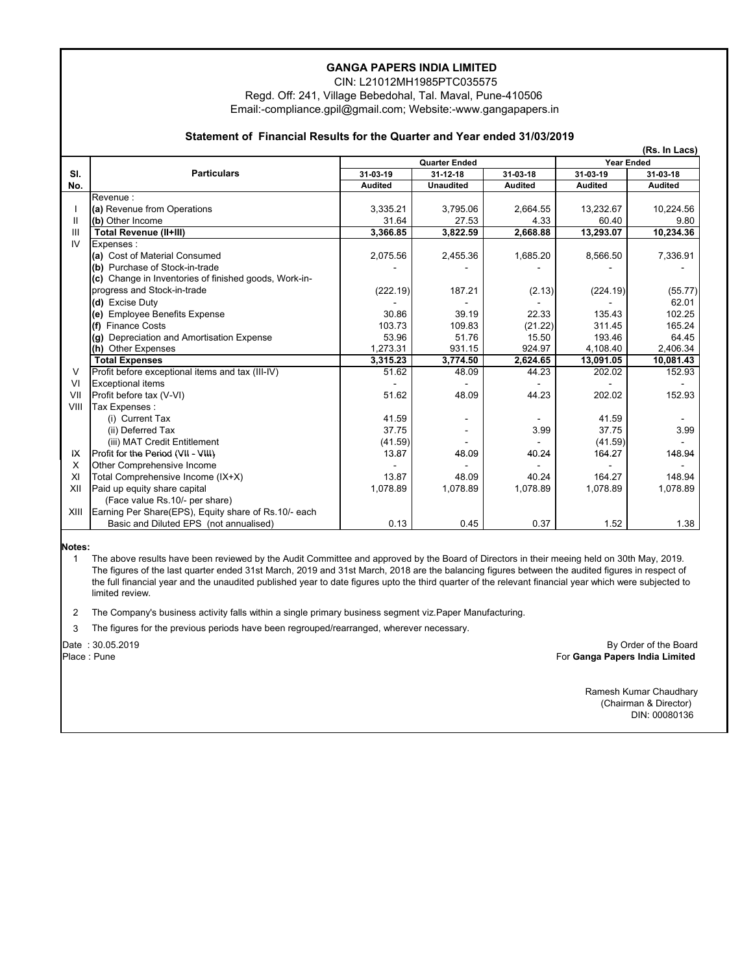## **GANGA PAPERS INDIA LIMITED**

 CIN: L21012MH1985PTC035575 Regd. Off: 241, Village Bebedohal, Tal. Maval, Pune-410506 Email:-compliance.gpil@gmail.com; Website:-www.gangapapers.in

## **Statement of Financial Results for the Quarter and Year ended 31/03/2019**

|                | (Rs. In Lacs)                                         |                      |                  |                |                   |                |  |  |
|----------------|-------------------------------------------------------|----------------------|------------------|----------------|-------------------|----------------|--|--|
|                |                                                       | <b>Quarter Ended</b> |                  |                | <b>Year Ended</b> |                |  |  |
| SI.            | <b>Particulars</b>                                    | 31-03-19             | 31-12-18         | 31-03-18       | 31-03-19          | 31-03-18       |  |  |
| No.            |                                                       | <b>Audited</b>       | <b>Unaudited</b> | <b>Audited</b> | <b>Audited</b>    | <b>Audited</b> |  |  |
|                | Revenue:                                              |                      |                  |                |                   |                |  |  |
|                | (a) Revenue from Operations                           | 3,335.21             | 3,795.06         | 2,664.55       | 13,232.67         | 10,224.56      |  |  |
| Ш              | (b) Other Income                                      | 31.64                | 27.53            | 4.33           | 60.40             | 9.80           |  |  |
| Ш              | <b>Total Revenue (II+III)</b>                         | 3,366.85             | 3,822.59         | 2,668.88       | 13,293.07         | 10,234.36      |  |  |
| IV             | Expenses:                                             |                      |                  |                |                   |                |  |  |
|                | (a) Cost of Material Consumed                         | 2,075.56             | 2,455.36         | 1,685.20       | 8,566.50          | 7,336.91       |  |  |
|                | (b) Purchase of Stock-in-trade                        |                      |                  |                |                   |                |  |  |
|                | (c) Change in Inventories of finished goods, Work-in- |                      |                  |                |                   |                |  |  |
|                | progress and Stock-in-trade                           | (222.19)             | 187.21           | (2.13)         | (224.19)          | (55.77)        |  |  |
|                | (d) Excise Duty                                       |                      |                  |                |                   | 62.01          |  |  |
|                | (e) Employee Benefits Expense                         | 30.86                | 39.19            | 22.33          | 135.43            | 102.25         |  |  |
|                | (f) Finance Costs                                     | 103.73               | 109.83           | (21.22)        | 311.45            | 165.24         |  |  |
|                | (g) Depreciation and Amortisation Expense             | 53.96                | 51.76            | 15.50          | 193.46            | 64.45          |  |  |
|                | (h) Other Expenses                                    | 1,273.31             | 931.15           | 924.97         | 4,108.40          | 2,406.34       |  |  |
|                | <b>Total Expenses</b>                                 | 3,315.23             | 3,774.50         | 2,624.65       | 13,091.05         | 10,081.43      |  |  |
| $\vee$         | Profit before exceptional items and tax (III-IV)      | 51.62                | 48.09            | 44.23          | 202.02            | 152.93         |  |  |
| V <sub>l</sub> | <b>Exceptional items</b>                              |                      |                  |                |                   |                |  |  |
| VII            | Profit before tax (V-VI)                              | 51.62                | 48.09            | 44.23          | 202.02            | 152.93         |  |  |
| VIII           | Tax Expenses :                                        |                      |                  |                |                   |                |  |  |
|                | (i) Current Tax                                       | 41.59                |                  |                | 41.59             |                |  |  |
|                | (ii) Deferred Tax                                     | 37.75                |                  | 3.99           | 37.75             | 3.99           |  |  |
|                | (iii) MAT Credit Entitlement                          | (41.59)              |                  |                | (41.59)           |                |  |  |
| IX             | Profit for the Period (VII - VIII)                    | 13.87                | 48.09            | 40.24          | 164.27            | 148.94         |  |  |
| X              | Other Comprehensive Income                            |                      |                  |                |                   |                |  |  |
| XI             | Total Comprehensive Income (IX+X)                     | 13.87                | 48.09            | 40.24          | 164.27            | 148.94         |  |  |
| XII            | Paid up equity share capital                          | 1,078.89             | 1,078.89         | 1,078.89       | 1,078.89          | 1,078.89       |  |  |
|                | (Face value Rs.10/- per share)                        |                      |                  |                |                   |                |  |  |
| XIII           | Earning Per Share(EPS), Equity share of Rs.10/- each  |                      |                  |                |                   |                |  |  |
|                | Basic and Diluted EPS (not annualised)                | 0.13                 | 0.45             | 0.37           | 1.52              | 1.38           |  |  |

**Notes:**

1 The above results have been reviewed by the Audit Committee and approved by the Board of Directors in their meeing held on 30th May, 2019. The figures of the last quarter ended 31st March, 2019 and 31st March, 2018 are the balancing figures between the audited figures in respect of the full financial year and the unaudited published year to date figures upto the third quarter of the relevant financial year which were subjected to limited review.

2 The Company's business activity falls within a single primary business segment viz.Paper Manufacturing.

3 The figures for the previous periods have been regrouped/rearranged, wherever necessary.

Date : 30.05.2019

Place : Pune

 For **Ganga Papers India Limited** By Order of the Board

> Ramesh Kumar Chaudhary (Chairman & Director) DIN: 00080136